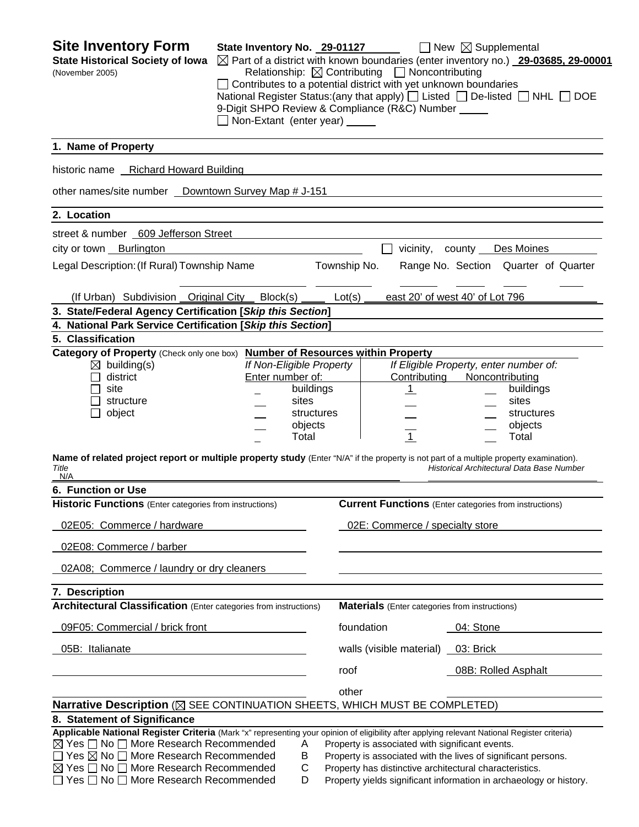**Site Inventory Form** State Inventory No. 29-01127 **New Supplemental State Historical Society of Iowa** Part of a district with known boundaries (enter inventory no.) **29-03685, 29-00001** (November 2005) Relationship:ContributingNoncontributing □ Contributes to a potential district with yet unknown boundaries National Register Status:(any that apply)  $\Box$  Listed  $\Box$  De-listed  $\Box$  NHL  $\Box$  DOE 9-Digit SHPO Review & Compliance (R&C) Number Non-Extant (enter year) **1. Name of Property**  historic name Richard Howard Building other names/site number \_ Downtown Survey Map # J-151 **2. Location**  street & number 609 Jefferson Street city or town Burlington vicinity, county Des Moines Legal Description: (If Rural) Township Name Township No. Range No. Section Quarter of Quarter (If Urban) Subdivision Original City Block(s) Lot(s) east 20' of west 40' of Lot 796 **3. State/Federal Agency Certification [***Skip this Section***] 4. National Park Service Certification [***Skip this Section***] 5. Classification Category of Property** (Check only one box) **Number of Resources within Property** building(s) *If Non-Eligible Property If Eligible Property, enter number of:* district Enter number of: Contributing Noncontributing site **buildings 1** buildings **1 1 1** buildings structure sites sites sites sites sites sites sites object and the structures structures in the structures object structures objects and the objects of the contract of the contract of the contract of the contract of the contract of the contract of the contract of the contract of the contract of the contract of the contract of the contract of the Total 1 Total **Name of related project report or multiple property study** (Enter "N/A" if the property is not part of a multiple property examination). *Title Historical Architectural Data Base Number*  N/A **6. Function or Use Historic Functions** (Enter categories from instructions) **Current Functions** (Enter categories from instructions) 02E05: Commerce / hardware 02E: Commerce / specialty store 02E08: Commerce / barber 02A08; Commerce / laundry or dry cleaners **7. Description Architectural Classification** (Enter categories from instructions) **Materials** (Enter categories from instructions) 09F05: Commercial / brick front foundation foundation 04: Stone 05B: Italianate walls (visible material) 03: Brick roof 08B: Rolled Asphalt <u>other contracts and contracts and contracts and contracts and contracts and contracts and contracts and contracts and contracts and contracts and contracts and contracts and contracts and contracts and contracts and contr</u> **Narrative Description** ( $\boxtimes$  SEE CONTINUATION SHEETS, WHICH MUST BE COMPLETED) **8. Statement of Significance Applicable National Register Criteria** (Mark "x" representing your opinion of eligibility after applying relevant National Register criteria)  $\boxtimes$  Yes  $\Box$  No  $\Box$  More Research Recommended  $\Box$  A Property is associated with significant events.  $\Box$  Yes  $\boxtimes$  No  $\Box$  More Research Recommended B Property is associated with the lives of significant persons.  $\boxtimes$  Yes  $\Box$  No  $\Box$  More Research Recommended  $\Box$  C Property has distinctive architectural characteristics.  $\Box$  Yes  $\Box$  No  $\Box$  More Research Recommended D Property yields significant information in archaeology or history.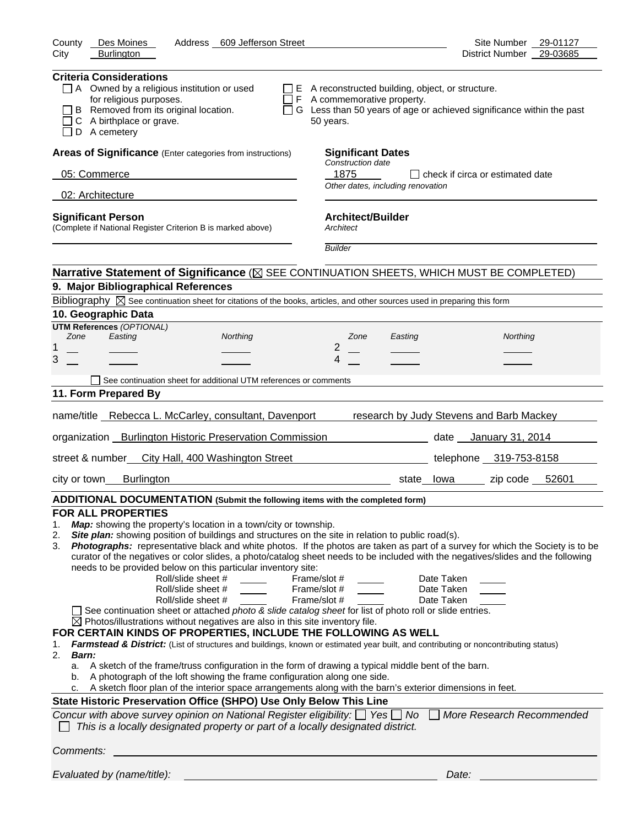| County<br>Des Moines<br>Address 609 Jefferson Street                                                                                                                                                                                                                                                                                                                                                                                                                                                                                                                                                                                                                                                                                                                                                                                                                                                                                                                                                                                                                                                                                                                                                                                                                                                                                                                       | Site Number 29-01127                                                                                                                                                                                                                                                                                                                                                                      |
|----------------------------------------------------------------------------------------------------------------------------------------------------------------------------------------------------------------------------------------------------------------------------------------------------------------------------------------------------------------------------------------------------------------------------------------------------------------------------------------------------------------------------------------------------------------------------------------------------------------------------------------------------------------------------------------------------------------------------------------------------------------------------------------------------------------------------------------------------------------------------------------------------------------------------------------------------------------------------------------------------------------------------------------------------------------------------------------------------------------------------------------------------------------------------------------------------------------------------------------------------------------------------------------------------------------------------------------------------------------------------|-------------------------------------------------------------------------------------------------------------------------------------------------------------------------------------------------------------------------------------------------------------------------------------------------------------------------------------------------------------------------------------------|
| City<br><b>Burlington</b>                                                                                                                                                                                                                                                                                                                                                                                                                                                                                                                                                                                                                                                                                                                                                                                                                                                                                                                                                                                                                                                                                                                                                                                                                                                                                                                                                  | District Number 29-03685                                                                                                                                                                                                                                                                                                                                                                  |
| <b>Criteria Considerations</b><br>$\Box$ A Owned by a religious institution or used<br>for religious purposes.<br>B Removed from its original location.<br>C A birthplace or grave.<br>D A cemetery                                                                                                                                                                                                                                                                                                                                                                                                                                                                                                                                                                                                                                                                                                                                                                                                                                                                                                                                                                                                                                                                                                                                                                        | $\Box$ E A reconstructed building, object, or structure.<br>F A commemorative property.<br>□ G Less than 50 years of age or achieved significance within the past<br>50 years.                                                                                                                                                                                                            |
| Areas of Significance (Enter categories from instructions)                                                                                                                                                                                                                                                                                                                                                                                                                                                                                                                                                                                                                                                                                                                                                                                                                                                                                                                                                                                                                                                                                                                                                                                                                                                                                                                 | <b>Significant Dates</b>                                                                                                                                                                                                                                                                                                                                                                  |
| 05: Commerce                                                                                                                                                                                                                                                                                                                                                                                                                                                                                                                                                                                                                                                                                                                                                                                                                                                                                                                                                                                                                                                                                                                                                                                                                                                                                                                                                               | Construction date<br>1875<br>□ check if circa or estimated date                                                                                                                                                                                                                                                                                                                           |
| 02: Architecture                                                                                                                                                                                                                                                                                                                                                                                                                                                                                                                                                                                                                                                                                                                                                                                                                                                                                                                                                                                                                                                                                                                                                                                                                                                                                                                                                           | Other dates, including renovation                                                                                                                                                                                                                                                                                                                                                         |
| <b>Significant Person</b><br>(Complete if National Register Criterion B is marked above)                                                                                                                                                                                                                                                                                                                                                                                                                                                                                                                                                                                                                                                                                                                                                                                                                                                                                                                                                                                                                                                                                                                                                                                                                                                                                   | <b>Architect/Builder</b><br>Architect                                                                                                                                                                                                                                                                                                                                                     |
|                                                                                                                                                                                                                                                                                                                                                                                                                                                                                                                                                                                                                                                                                                                                                                                                                                                                                                                                                                                                                                                                                                                                                                                                                                                                                                                                                                            | <b>Builder</b>                                                                                                                                                                                                                                                                                                                                                                            |
| Narrative Statement of Significance ( $\boxtimes$ SEE CONTINUATION SHEETS, WHICH MUST BE COMPLETED)<br>9. Major Bibliographical References                                                                                                                                                                                                                                                                                                                                                                                                                                                                                                                                                                                                                                                                                                                                                                                                                                                                                                                                                                                                                                                                                                                                                                                                                                 |                                                                                                                                                                                                                                                                                                                                                                                           |
| Bibliography $\boxtimes$ See continuation sheet for citations of the books, articles, and other sources used in preparing this form                                                                                                                                                                                                                                                                                                                                                                                                                                                                                                                                                                                                                                                                                                                                                                                                                                                                                                                                                                                                                                                                                                                                                                                                                                        |                                                                                                                                                                                                                                                                                                                                                                                           |
| 10. Geographic Data                                                                                                                                                                                                                                                                                                                                                                                                                                                                                                                                                                                                                                                                                                                                                                                                                                                                                                                                                                                                                                                                                                                                                                                                                                                                                                                                                        |                                                                                                                                                                                                                                                                                                                                                                                           |
| <b>UTM References (OPTIONAL)</b><br>Zone<br>Easting                                                                                                                                                                                                                                                                                                                                                                                                                                                                                                                                                                                                                                                                                                                                                                                                                                                                                                                                                                                                                                                                                                                                                                                                                                                                                                                        |                                                                                                                                                                                                                                                                                                                                                                                           |
| Northing<br>1                                                                                                                                                                                                                                                                                                                                                                                                                                                                                                                                                                                                                                                                                                                                                                                                                                                                                                                                                                                                                                                                                                                                                                                                                                                                                                                                                              | Northing<br>Zone<br>Easting<br>2                                                                                                                                                                                                                                                                                                                                                          |
| 3                                                                                                                                                                                                                                                                                                                                                                                                                                                                                                                                                                                                                                                                                                                                                                                                                                                                                                                                                                                                                                                                                                                                                                                                                                                                                                                                                                          | 4                                                                                                                                                                                                                                                                                                                                                                                         |
| See continuation sheet for additional UTM references or comments                                                                                                                                                                                                                                                                                                                                                                                                                                                                                                                                                                                                                                                                                                                                                                                                                                                                                                                                                                                                                                                                                                                                                                                                                                                                                                           |                                                                                                                                                                                                                                                                                                                                                                                           |
| 11. Form Prepared By                                                                                                                                                                                                                                                                                                                                                                                                                                                                                                                                                                                                                                                                                                                                                                                                                                                                                                                                                                                                                                                                                                                                                                                                                                                                                                                                                       |                                                                                                                                                                                                                                                                                                                                                                                           |
|                                                                                                                                                                                                                                                                                                                                                                                                                                                                                                                                                                                                                                                                                                                                                                                                                                                                                                                                                                                                                                                                                                                                                                                                                                                                                                                                                                            |                                                                                                                                                                                                                                                                                                                                                                                           |
| name/title Rebecca L. McCarley, consultant, Davenport                                                                                                                                                                                                                                                                                                                                                                                                                                                                                                                                                                                                                                                                                                                                                                                                                                                                                                                                                                                                                                                                                                                                                                                                                                                                                                                      | research by Judy Stevens and Barb Mackey                                                                                                                                                                                                                                                                                                                                                  |
| organization Burlington Historic Preservation Commission                                                                                                                                                                                                                                                                                                                                                                                                                                                                                                                                                                                                                                                                                                                                                                                                                                                                                                                                                                                                                                                                                                                                                                                                                                                                                                                   | date January 31, 2014                                                                                                                                                                                                                                                                                                                                                                     |
| street & number<br>City Hall, 400 Washington Street                                                                                                                                                                                                                                                                                                                                                                                                                                                                                                                                                                                                                                                                                                                                                                                                                                                                                                                                                                                                                                                                                                                                                                                                                                                                                                                        | telephone 319-753-8158                                                                                                                                                                                                                                                                                                                                                                    |
| <b>Burlington</b><br>city or town                                                                                                                                                                                                                                                                                                                                                                                                                                                                                                                                                                                                                                                                                                                                                                                                                                                                                                                                                                                                                                                                                                                                                                                                                                                                                                                                          | zip code 52601<br>state lowa                                                                                                                                                                                                                                                                                                                                                              |
| ADDITIONAL DOCUMENTATION (Submit the following items with the completed form)                                                                                                                                                                                                                                                                                                                                                                                                                                                                                                                                                                                                                                                                                                                                                                                                                                                                                                                                                                                                                                                                                                                                                                                                                                                                                              |                                                                                                                                                                                                                                                                                                                                                                                           |
| <b>FOR ALL PROPERTIES</b><br>Map: showing the property's location in a town/city or township.<br>1.<br>Site plan: showing position of buildings and structures on the site in relation to public road(s).<br>2.<br>3.<br>needs to be provided below on this particular inventory site:<br>Roll/slide sheet #<br>Roll/slide sheet #<br>Roll/slide sheet #<br>See continuation sheet or attached photo & slide catalog sheet for list of photo roll or slide entries.<br>$\boxtimes$ Photos/illustrations without negatives are also in this site inventory file.<br>FOR CERTAIN KINDS OF PROPERTIES, INCLUDE THE FOLLOWING AS WELL<br>Farmstead & District: (List of structures and buildings, known or estimated year built, and contributing or noncontributing status)<br>1.<br>2.<br><b>Barn:</b><br>A sketch of the frame/truss configuration in the form of drawing a typical middle bent of the barn.<br>a.<br>A photograph of the loft showing the frame configuration along one side.<br>b.<br>A sketch floor plan of the interior space arrangements along with the barn's exterior dimensions in feet.<br>c.<br>State Historic Preservation Office (SHPO) Use Only Below This Line<br>Concur with above survey opinion on National Register eligibility: $\Box$ Yes $\Box$ No<br>This is a locally designated property or part of a locally designated district. | Photographs: representative black and white photos. If the photos are taken as part of a survey for which the Society is to be<br>curator of the negatives or color slides, a photo/catalog sheet needs to be included with the negatives/slides and the following<br>Frame/slot #<br>Date Taken<br>Frame/slot #<br>Date Taken<br>Frame/slot #<br>Date Taken<br>More Research Recommended |
| Comments:                                                                                                                                                                                                                                                                                                                                                                                                                                                                                                                                                                                                                                                                                                                                                                                                                                                                                                                                                                                                                                                                                                                                                                                                                                                                                                                                                                  |                                                                                                                                                                                                                                                                                                                                                                                           |
| Evaluated by (name/title):                                                                                                                                                                                                                                                                                                                                                                                                                                                                                                                                                                                                                                                                                                                                                                                                                                                                                                                                                                                                                                                                                                                                                                                                                                                                                                                                                 | Date:                                                                                                                                                                                                                                                                                                                                                                                     |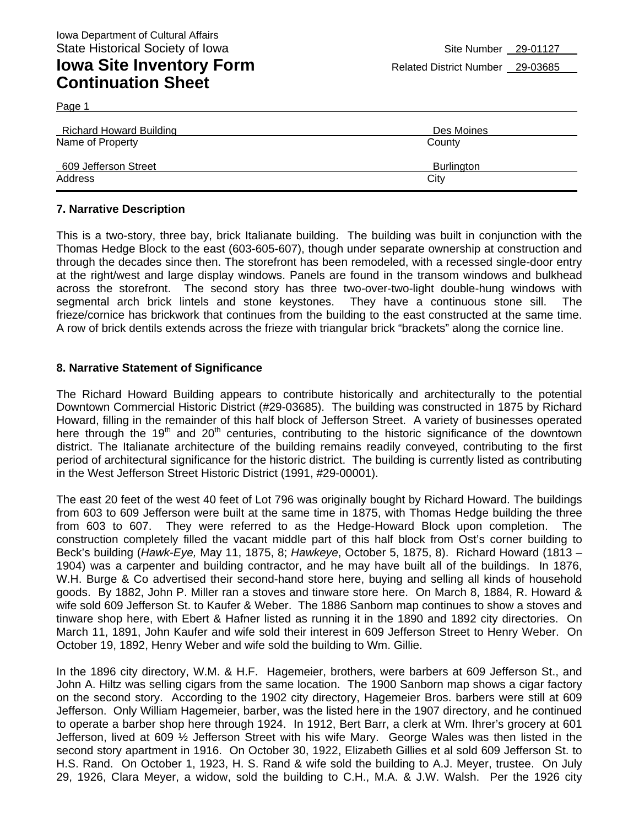| <b>Richard Howard Building</b> | Des Moines |
|--------------------------------|------------|
| Name of Property               | County     |
| 609 Jefferson Street           | Burlington |
| Address                        | City       |

#### **7. Narrative Description**

Page 1

This is a two-story, three bay, brick Italianate building. The building was built in conjunction with the Thomas Hedge Block to the east (603-605-607), though under separate ownership at construction and through the decades since then. The storefront has been remodeled, with a recessed single-door entry at the right/west and large display windows. Panels are found in the transom windows and bulkhead across the storefront. The second story has three two-over-two-light double-hung windows with segmental arch brick lintels and stone keystones. They have a continuous stone sill. The frieze/cornice has brickwork that continues from the building to the east constructed at the same time. A row of brick dentils extends across the frieze with triangular brick "brackets" along the cornice line.

#### **8. Narrative Statement of Significance**

The Richard Howard Building appears to contribute historically and architecturally to the potential Downtown Commercial Historic District (#29-03685). The building was constructed in 1875 by Richard Howard, filling in the remainder of this half block of Jefferson Street. A variety of businesses operated here through the 19<sup>th</sup> and 20<sup>th</sup> centuries, contributing to the historic significance of the downtown district. The Italianate architecture of the building remains readily conveyed, contributing to the first period of architectural significance for the historic district. The building is currently listed as contributing in the West Jefferson Street Historic District (1991, #29-00001).

The east 20 feet of the west 40 feet of Lot 796 was originally bought by Richard Howard. The buildings from 603 to 609 Jefferson were built at the same time in 1875, with Thomas Hedge building the three from 603 to 607. They were referred to as the Hedge-Howard Block upon completion. The construction completely filled the vacant middle part of this half block from Ost's corner building to Beck's building (*Hawk-Eye,* May 11, 1875, 8; *Hawkeye*, October 5, 1875, 8). Richard Howard (1813 – 1904) was a carpenter and building contractor, and he may have built all of the buildings. In 1876, W.H. Burge & Co advertised their second-hand store here, buying and selling all kinds of household goods. By 1882, John P. Miller ran a stoves and tinware store here. On March 8, 1884, R. Howard & wife sold 609 Jefferson St. to Kaufer & Weber. The 1886 Sanborn map continues to show a stoves and tinware shop here, with Ebert & Hafner listed as running it in the 1890 and 1892 city directories. On March 11, 1891, John Kaufer and wife sold their interest in 609 Jefferson Street to Henry Weber. On October 19, 1892, Henry Weber and wife sold the building to Wm. Gillie.

In the 1896 city directory, W.M. & H.F. Hagemeier, brothers, were barbers at 609 Jefferson St., and John A. Hiltz was selling cigars from the same location. The 1900 Sanborn map shows a cigar factory on the second story. According to the 1902 city directory, Hagemeier Bros. barbers were still at 609 Jefferson. Only William Hagemeier, barber, was the listed here in the 1907 directory, and he continued to operate a barber shop here through 1924. In 1912, Bert Barr, a clerk at Wm. Ihrer's grocery at 601 Jefferson, lived at 609 ½ Jefferson Street with his wife Mary. George Wales was then listed in the second story apartment in 1916. On October 30, 1922, Elizabeth Gillies et al sold 609 Jefferson St. to H.S. Rand. On October 1, 1923, H. S. Rand & wife sold the building to A.J. Meyer, trustee. On July 29, 1926, Clara Meyer, a widow, sold the building to C.H., M.A. & J.W. Walsh. Per the 1926 city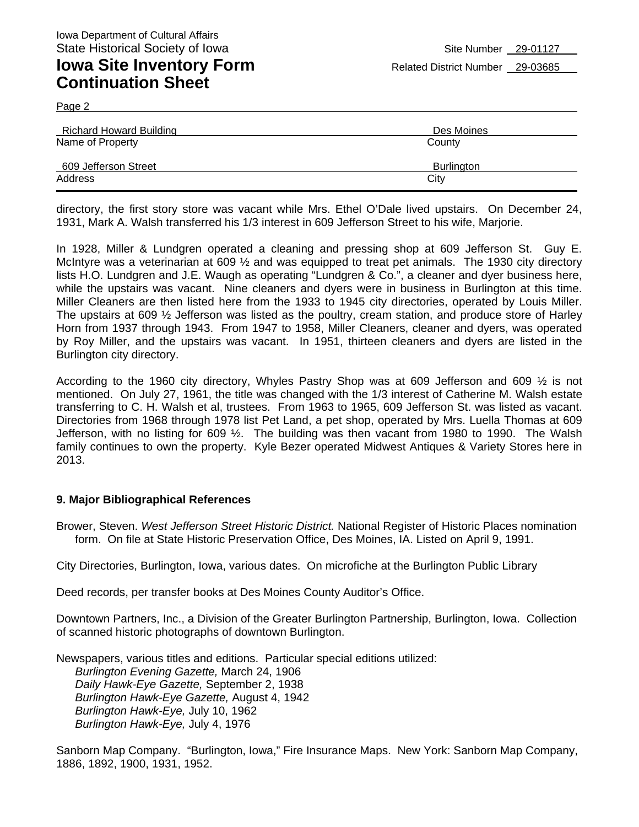Page 2

| Richard Howard Building | Des Moines        |
|-------------------------|-------------------|
| Name of Property        | County            |
| 609 Jefferson Street    | <b>Burlington</b> |
| Address                 | City              |

directory, the first story store was vacant while Mrs. Ethel O'Dale lived upstairs. On December 24, 1931, Mark A. Walsh transferred his 1/3 interest in 609 Jefferson Street to his wife, Marjorie.

In 1928, Miller & Lundgren operated a cleaning and pressing shop at 609 Jefferson St. Guy E. McIntyre was a veterinarian at 609 ½ and was equipped to treat pet animals. The 1930 city directory lists H.O. Lundgren and J.E. Waugh as operating "Lundgren & Co.", a cleaner and dyer business here, while the upstairs was vacant. Nine cleaners and dyers were in business in Burlington at this time. Miller Cleaners are then listed here from the 1933 to 1945 city directories, operated by Louis Miller. The upstairs at 609 ½ Jefferson was listed as the poultry, cream station, and produce store of Harley Horn from 1937 through 1943. From 1947 to 1958, Miller Cleaners, cleaner and dyers, was operated by Roy Miller, and the upstairs was vacant. In 1951, thirteen cleaners and dyers are listed in the Burlington city directory.

According to the 1960 city directory, Whyles Pastry Shop was at 609 Jefferson and 609 ½ is not mentioned. On July 27, 1961, the title was changed with the 1/3 interest of Catherine M. Walsh estate transferring to C. H. Walsh et al, trustees. From 1963 to 1965, 609 Jefferson St. was listed as vacant. Directories from 1968 through 1978 list Pet Land, a pet shop, operated by Mrs. Luella Thomas at 609 Jefferson, with no listing for 609 ½. The building was then vacant from 1980 to 1990. The Walsh family continues to own the property. Kyle Bezer operated Midwest Antiques & Variety Stores here in 2013.

#### **9. Major Bibliographical References**

Brower, Steven. *West Jefferson Street Historic District.* National Register of Historic Places nomination form. On file at State Historic Preservation Office, Des Moines, IA. Listed on April 9, 1991.

City Directories, Burlington, Iowa, various dates. On microfiche at the Burlington Public Library

Deed records, per transfer books at Des Moines County Auditor's Office.

Downtown Partners, Inc., a Division of the Greater Burlington Partnership, Burlington, Iowa. Collection of scanned historic photographs of downtown Burlington.

Newspapers, various titles and editions. Particular special editions utilized: *Burlington Evening Gazette,* March 24, 1906 *Daily Hawk-Eye Gazette,* September 2, 1938 *Burlington Hawk-Eye Gazette,* August 4, 1942 *Burlington Hawk-Eye,* July 10, 1962 *Burlington Hawk-Eye,* July 4, 1976

Sanborn Map Company. "Burlington, Iowa," Fire Insurance Maps. New York: Sanborn Map Company, 1886, 1892, 1900, 1931, 1952.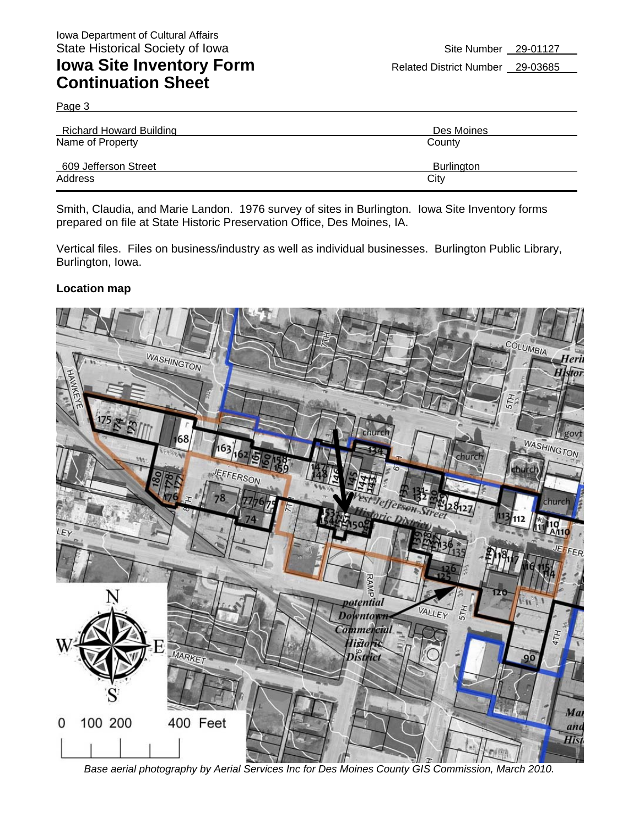Page 3

| <b>Richard Howard Building</b> | Des Moines |
|--------------------------------|------------|
| Name of Property               | County     |
| 609 Jefferson Street           | Burlington |
| Address                        | City       |

Smith, Claudia, and Marie Landon. 1976 survey of sites in Burlington. Iowa Site Inventory forms prepared on file at State Historic Preservation Office, Des Moines, IA.

Vertical files. Files on business/industry as well as individual businesses. Burlington Public Library, Burlington, Iowa.

#### **Location map**



*Base aerial photography by Aerial Services Inc for Des Moines County GIS Commission, March 2010.*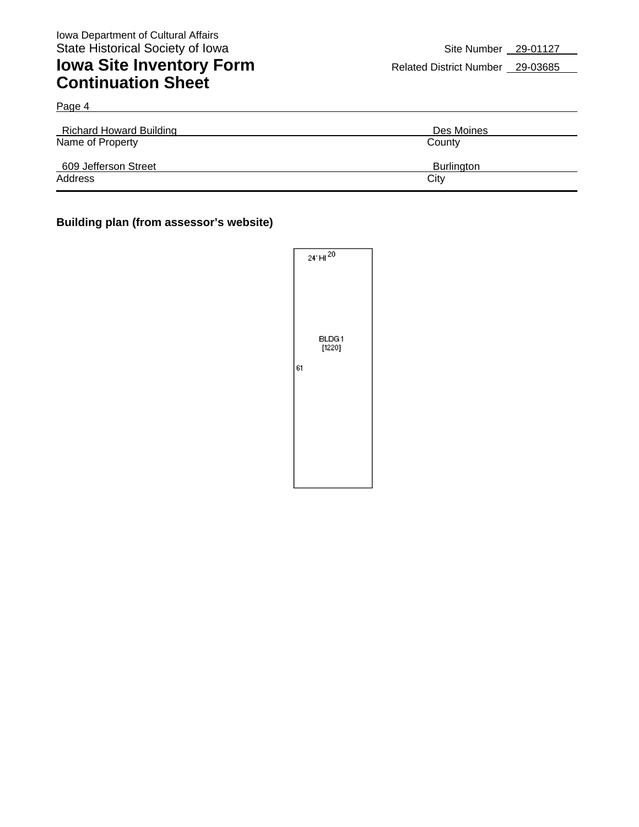Page 4

## **Iowa Site Inventory Form** Related District Number 29-03685 **Continuation Sheet**

| <b>Richard Howard Building</b> | Des Moines |
|--------------------------------|------------|
| Name of Property               | County     |
| 609 Jefferson Street           | Burlington |
| Address                        | City       |

#### **Building plan (from assessor's website)**

|    | $24'$ HI $^{20}$ |
|----|------------------|
|    | BLDG1<br>[1220]  |
| 61 |                  |
|    |                  |
|    |                  |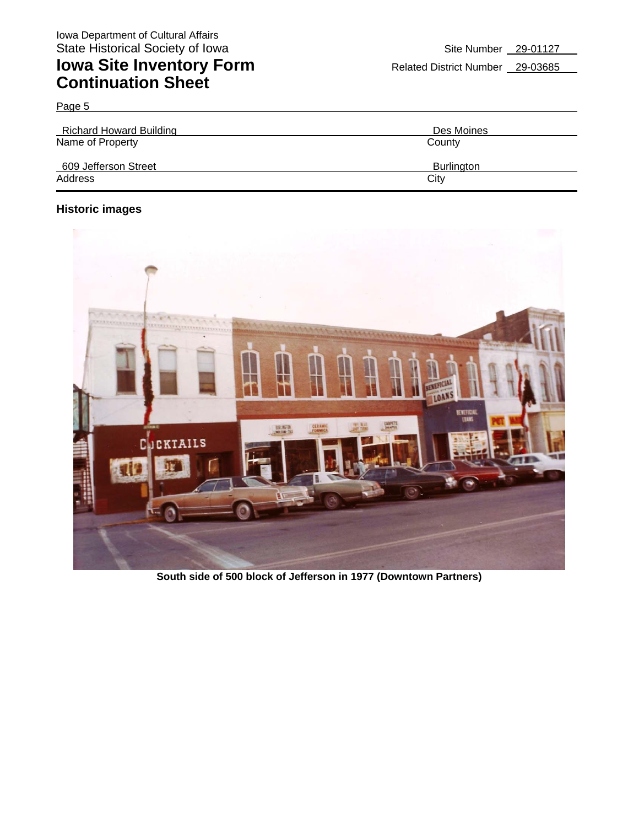Page 5

| <b>Richard Howard Building</b> | Des Moines |
|--------------------------------|------------|
| Name of Property               | County     |
| 609 Jefferson Street           | Burlington |
| Address                        | City       |

### **Historic images**



**South side of 500 block of Jefferson in 1977 (Downtown Partners)**